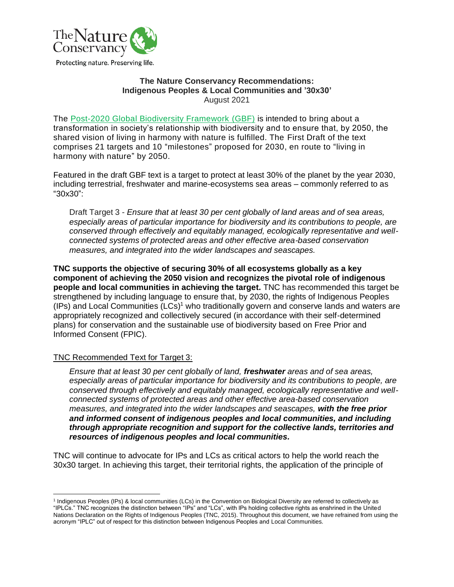

#### **The Nature Conservancy Recommendations: Indigenous Peoples & Local Communities and '30x30'** August 2021

The [Post-2020 Global Biodiversity Framework](https://www.cbd.int/doc/c/abb5/591f/2e46096d3f0330b08ce87a45/wg2020-03-03-en.pdf) (GBF) is intended to bring about a transformation in society's relationship with biodiversity and to ensure that, by 2050, the shared vision of living in harmony with nature is fulfilled. The First Draft of the text comprises 21 targets and 10 "milestones" proposed for 2030, en route to "living in harmony with nature" by 2050.

Featured in the draft GBF text is a target to protect at least 30% of the planet by the year 2030, including terrestrial, freshwater and marine-ecosystems sea areas – commonly referred to as "30x30":

Draft Target 3 - *Ensure that at least 30 per cent globally of land areas and of sea areas, especially areas of particular importance for biodiversity and its contributions to people, are conserved through effectively and equitably managed, ecologically representative and wellconnected systems of protected areas and other effective area-based conservation measures, and integrated into the wider landscapes and seascapes.*

**TNC supports the objective of securing 30% of all ecosystems globally as a key component of achieving the 2050 vision and recognizes the pivotal role of indigenous people and local communities in achieving the target.** TNC has recommended this target be strengthened by including language to ensure that, by 2030, the rights of Indigenous Peoples (IPs) and Local Communities (LCs)<sup>1</sup> who traditionally govern and conserve lands and waters are appropriately recognized and collectively secured (in accordance with their self-determined plans) for conservation and the sustainable use of biodiversity based on Free Prior and Informed Consent (FPIC).

# TNC Recommended Text for Target 3:

*Ensure that at least 30 per cent globally of land, freshwater areas and of sea areas, especially areas of particular importance for biodiversity and its contributions to people, are conserved through effectively and equitably managed, ecologically representative and wellconnected systems of protected areas and other effective area-based conservation measures, and integrated into the wider landscapes and seascapes, with the free prior and informed consent of indigenous peoples and local communities, and including through appropriate recognition and support for the collective lands, territories and resources of indigenous peoples and local communities.*

TNC will continue to advocate for IPs and LCs as critical actors to help the world reach the 30x30 target. In achieving this target, their territorial rights, the application of the principle of

<sup>&</sup>lt;sup>1</sup> Indigenous Peoples (IPs) & local communities (LCs) in the Convention on Biological Diversity are referred to collectively as "IPLCs." TNC recognizes the distinction between "IPs" and "LCs", with IPs holding collective rights as enshrined in the United Nations Declaration on the Rights of Indigenous Peoples (TNC, 2015). Throughout this document, we have refrained from using the acronym "IPLC" out of respect for this distinction between Indigenous Peoples and Local Communities.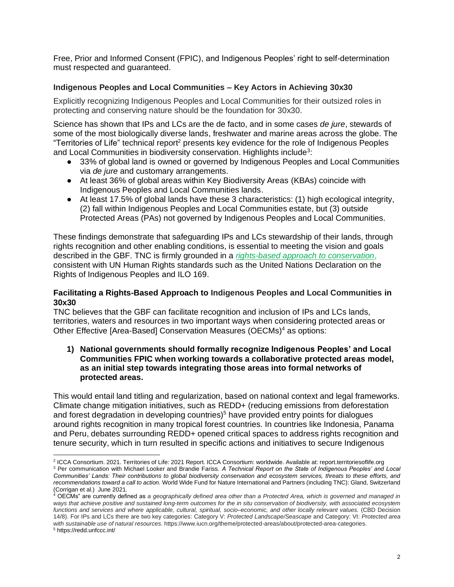Free, Prior and Informed Consent (FPIC), and Indigenous Peoples' right to self-determination must respected and guaranteed.

# **Indigenous Peoples and Local Communities – Key Actors in Achieving 30x30**

Explicitly recognizing Indigenous Peoples and Local Communities for their outsized roles in protecting and conserving nature should be the foundation for 30x30.

Science has shown that IPs and LCs are the de facto, and in some cases *de jure*, stewards of some of the most biologically diverse lands, freshwater and marine areas across the globe. The "Territories of Life" technical report<sup>2</sup> presents key evidence for the role of Indigenous Peoples and Local Communities in biodiversity conservation. Highlights include<sup>3</sup>:

- 33% of global land is owned or governed by Indigenous Peoples and Local Communities via *de jure* and customary arrangements.
- At least 36% of global areas within Key Biodiversity Areas (KBAs) coincide with Indigenous Peoples and Local Communities lands.
- At least 17.5% of global lands have these 3 characteristics: (1) high ecological integrity, (2) fall within Indigenous Peoples and Local Communities estate, but (3) outside Protected Areas (PAs) not governed by Indigenous Peoples and Local Communities.

These findings demonstrate that safeguarding IPs and LCs stewardship of their lands, through rights recognition and other enabling conditions, is essential to meeting the vision and goals described in the GBF. TNC is firmly grounded in a *[rights-based approach to conservation](https://www.nature.org/en-us/about-us/who-we-are/how-we-work/community-led-conservation/?tab_q=tab_container-tab_element_1414665003)*, consistent with UN Human Rights standards such as the United Nations Declaration on the Rights of Indigenous Peoples and ILO 169.

# **Facilitating a Rights-Based Approach to Indigenous Peoples and Local Communities in 30x30**

TNC believes that the GBF can facilitate recognition and inclusion of IPs and LCs lands, territories, waters and resources in two important ways when considering protected areas or Other Effective [Area-Based] Conservation Measures (OECMs) <sup>4</sup> as options:

**1) National governments should formally recognize Indigenous Peoples' and Local Communities FPIC when working towards a collaborative protected areas model, as an initial step towards integrating those areas into formal networks of protected areas.**

This would entail land titling and regularization, based on national context and legal frameworks. Climate change mitigation initiatives, such as REDD+ (reducing emissions from deforestation and forest degradation in developing countries) $5$  have provided entry points for dialogues around rights recognition in many tropical forest countries. In countries like Indonesia, Panama and Peru, debates surrounding REDD+ opened critical spaces to address rights recognition and tenure security, which in turn resulted in specific actions and initiatives to secure Indigenous

<sup>3</sup> Per communication with Michael Looker and Brandie Fariss. *A Technical Report on the State of Indigenous Peoples' and Local Communities' Lands: Their contributions to global biodiversity conservation and ecosystem services, threats to these efforts, and recommendations toward a call to action.* World Wide Fund for Nature International and Partners (including TNC): Gland, Switzerland (Corrigan et al.) June 2021.

<sup>2</sup> ICCA Consortium. 2021. Territories of Life: 2021 Report. ICCA Consortium: worldwide. Available at: report.territoriesoflife.org

<sup>4</sup> OECMs" are currently defined as *a geographically defined area other than a Protected Area, which is governed and managed in ways that achieve positive and sustained long-term outcomes for the in situ conservation of biodiversity, with associated ecosystem functions and services and where applicable, cultural, spiritual, socio–economic, and other locally relevant values.* (CBD Decision 14/8). For IPs and LCs there are two key categories: Category V: *Protected Landscape/Seascape* and Category: VI: *Protected area with sustainable use of natural resources.* https://www.iucn.org/theme/protected-areas/about/protected-area-categories.

<sup>5</sup> https://redd.unfccc.int/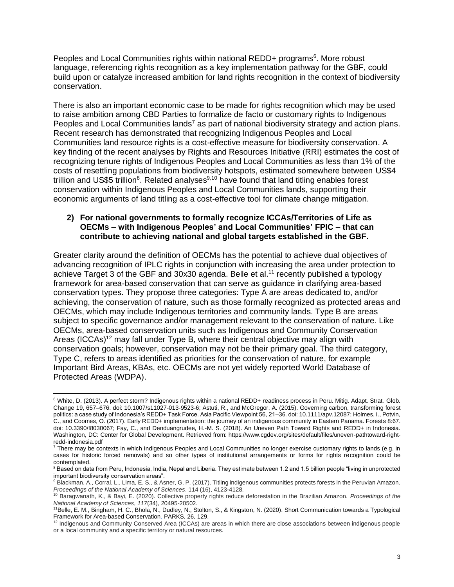Peoples and Local Communities rights within national REDD+ programs<sup>6</sup>. More robust language, referencing rights recognition as a key implementation pathway for the GBF, could build upon or catalyze increased ambition for land rights recognition in the context of biodiversity conservation.

There is also an important economic case to be made for rights recognition which may be used to raise ambition among CBD Parties to formalize de facto or customary rights to Indigenous Peoples and Local Communities lands<sup>7</sup> as part of national biodiversity strategy and action plans. Recent research has demonstrated that recognizing Indigenous Peoples and Local Communities land resource rights is a cost-effective measure for biodiversity conservation. A key finding of the recent analyses by Rights and Resources Initiative (RRI) estimates the cost of recognizing tenure rights of Indigenous Peoples and Local Communities as less than 1% of the costs of resettling populations from biodiversity hotspots, estimated somewhere between US\$4 trillion and US\$5 trillion<sup>8</sup>. Related analyses<sup>9,10</sup> have found that land titling enables forest conservation within Indigenous Peoples and Local Communities lands, supporting their economic arguments of land titling as a cost-effective tool for climate change mitigation.

#### **2) For national governments to formally recognize ICCAs/Territories of Life as OECMs – with Indigenous Peoples' and Local Communities' FPIC – that can contribute to achieving national and global targets established in the GBF.**

Greater clarity around the definition of OECMs has the potential to achieve dual objectives of advancing recognition of IPLC rights in conjunction with increasing the area under protection to achieve Target 3 of the GBF and 30x30 agenda. Belle et al.<sup>11</sup> recently published a typology framework for area-based conservation that can serve as guidance in clarifying area-based conservation types. They propose three categories: Type A are areas dedicated to, and/or achieving, the conservation of nature, such as those formally recognized as protected areas and OECMs, which may include Indigenous territories and community lands. Type B are areas subject to specific governance and/or management relevant to the conservation of nature. Like OECMs, area-based conservation units such as Indigenous and Community Conservation Areas (ICCAs)<sup>12</sup> may fall under Type B, where their central objective may align with conservation goals; however, conservation may not be their primary goal. The third category, Type C, refers to areas identified as priorities for the conservation of nature, for example Important Bird Areas, KBAs, etc. OECMs are not yet widely reported World Database of Protected Areas (WDPA).

<sup>6</sup> White, D. (2013). A perfect storm? Indigenous rights within a national REDD+ readiness process in Peru. Mitig. Adapt. Strat. Glob. Change 19, 657–676. doi: 10.1007/s11027-013-9523-6; Astuti, R., and McGregor, A. (2015). Governing carbon, transforming forest politics: a case study of Indonesia's REDD+ Task Force. Asia Pacific Viewpoint 56, 21–36. doi: 10.1111/apv.12087; Holmes, I., Potvin, C., and Coomes, O. (2017). Early REDD+ implementation: the journey of an indigenous community in Eastern Panama. Forests 8:67. doi: 10.3390/f8030067; Fay, C., and Denduangrudee, H.-M. S. (2018). An Uneven Path Toward Rights and REDD+ in Indonesia. Washington, DC: Center for Global Development. Retrieved from: https://www.cgdev.org/sites/default/files/uneven-pathtoward-rightredd-indonesia.pdf

<sup>&</sup>lt;sup>7</sup> There may be contexts in which Indigenous Peoples and Local Communities no longer exercise customary rights to lands (e.g. in cases for historic forced removals) and so other types of institutional arrangements or forms for rights recognition could be contemplated.

<sup>8</sup> Based on data from Peru, Indonesia, India, Nepal and Liberia. They estimate between 1.2 and 1.5 billion people "living in unprotected important biodiversity conservation areas".

<sup>&</sup>lt;sup>9</sup> Blackman, A., Corral, L., Lima, E. S., & Asner, G. P. (2017). Titling indigenous communities protects forests in the Peruvian Amazon. *Proceedings of the National Academy of Sciences*, 114 (16), 4123-4128.

<sup>10</sup> Baragwanath, K., & Bayi, E. (2020). Collective property rights reduce deforestation in the Brazilian Amazon. *Proceedings of the National Academy of Sciences*, *117*(34), 20495-20502.

<sup>&</sup>lt;sup>11</sup>Belle, E. M., Bingham, H. C., Bhola, N., Dudley, N., Stolton, S., & Kingston, N. (2020). Short Communication towards a Typological Framework for Area-based Conservation. PARKS, 26, 129.

<sup>&</sup>lt;sup>12</sup> Indigenous and Community Conserved Area (ICCAs) are areas in which there are close associations between indigenous people or a local community and a specific territory or natural resources.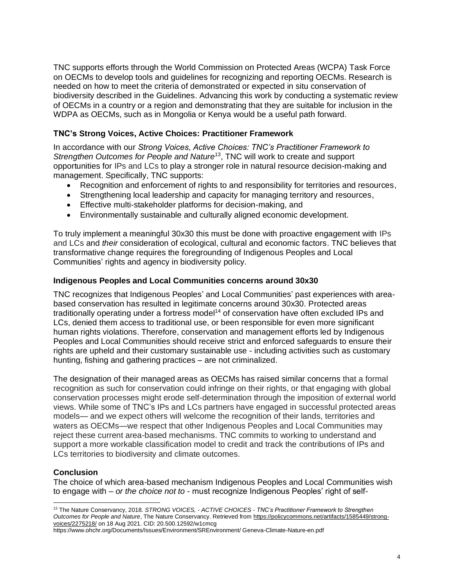TNC supports efforts through the World Commission on Protected Areas (WCPA) Task Force on OECMs to develop tools and guidelines for recognizing and reporting OECMs. Research is needed on how to meet the criteria of demonstrated or expected in situ conservation of biodiversity described in the Guidelines. Advancing this work by conducting a systematic review of OECMs in a country or a region and demonstrating that they are suitable for inclusion in the WDPA as OECMs, such as in Mongolia or Kenya would be a useful path forward.

### **TNC's Strong Voices, Active Choices: Practitioner Framework**

In accordance with our *Strong Voices, Active Choices: TNC's Practitioner Framework to Strengthen Outcomes for People and Nature*<sup>13</sup>, TNC will work to create and support opportunities for IPs and LCs to play a stronger role in natural resource decision-making and management. Specifically, TNC supports:

- Recognition and enforcement of rights to and responsibility for territories and resources,
- Strengthening local leadership and capacity for managing territory and resources,
- Effective multi-stakeholder platforms for decision-making, and
- Environmentally sustainable and culturally aligned economic development.

To truly implement a meaningful 30x30 this must be done with proactive engagement with IPs and LCs and *their* consideration of ecological, cultural and economic factors. TNC believes that transformative change requires the foregrounding of Indigenous Peoples and Local Communities' rights and agency in biodiversity policy.

#### **Indigenous Peoples and Local Communities concerns around 30x30**

TNC recognizes that Indigenous Peoples' and Local Communities' past experiences with areabased conservation has resulted in legitimate concerns around 30x30. Protected areas traditionally operating under a fortress model<sup>14</sup> of conservation have often excluded IPs and LCs, denied them access to traditional use, or been responsible for even more significant human rights violations. Therefore, conservation and management efforts led by Indigenous Peoples and Local Communities should receive strict and enforced safeguards to ensure their rights are upheld and their customary sustainable use - including activities such as customary hunting, fishing and gathering practices – are not criminalized.

The designation of their managed areas as OECMs has raised similar concerns that a formal recognition as such for conservation could infringe on their rights, or that engaging with global conservation processes might erode self-determination through the imposition of external world views. While some of TNC's IPs and LCs partners have engaged in successful protected areas models— and we expect others will welcome the recognition of their lands, territories and waters as OECMs—we respect that other Indigenous Peoples and Local Communities may reject these current area-based mechanisms. TNC commits to working to understand and support a more workable classification model to credit and track the contributions of IPs and LCs territories to biodiversity and climate outcomes.

# **Conclusion**

The choice of which area-based mechanism Indigenous Peoples and Local Communities wish to engage with – *or the choice not to* - must recognize Indigenous Peoples' right of self-

<sup>13</sup> The Nature Conservancy, 2018. *STRONG VOICES, - ACTIVE CHOICES - TNC's Practitioner Framework to Strengthen Outcomes for People and Nature*, The Nature Conservancy. Retrieved from [https://policycommons.net/artifacts/1585449/strong](https://policycommons.net/artifacts/1585449/strong-voices/2275218/)[voices/2275218/](https://policycommons.net/artifacts/1585449/strong-voices/2275218/) on 18 Aug 2021. CID: 20.500.12592/w1cmcg

https://www.ohchr.org/Documents/Issues/Environment/SREnvironment/ Geneva-Climate-Nature-en.pdf